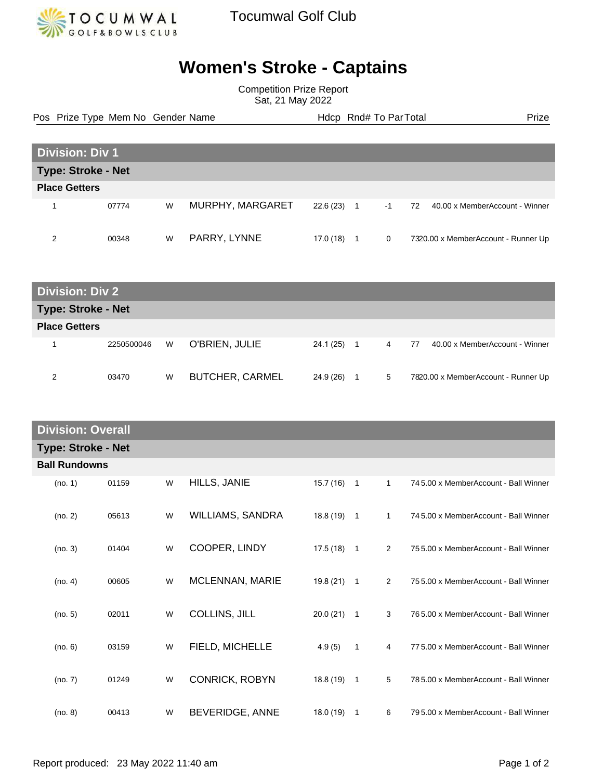

Tocumwal Golf Club

## **Women's Stroke - Captains**

Competition Prize Report Sat, 21 May 2022

Pos Prize Type Mem No Gender Name **Health Hotel Rnd# To ParTotal** Prize

| <b>Division: Div 1</b>    |       |   |                  |           |    |      |                                      |
|---------------------------|-------|---|------------------|-----------|----|------|--------------------------------------|
| <b>Type: Stroke - Net</b> |       |   |                  |           |    |      |                                      |
| <b>Place Getters</b>      |       |   |                  |           |    |      |                                      |
|                           | 07774 | W | MURPHY, MARGARET | 22.6(23)  | -1 | $-1$ | 40.00 x MemberAccount - Winner<br>72 |
| ົ                         | 00348 | W | PARRY, LYNNE     | 17.0 (18) |    | 0    | 7320.00 x MemberAccount - Runner Up  |

| <b>Division: Div 2</b>    |            |   |                        |           |    |   |                                      |
|---------------------------|------------|---|------------------------|-----------|----|---|--------------------------------------|
| <b>Type: Stroke - Net</b> |            |   |                        |           |    |   |                                      |
| <b>Place Getters</b>      |            |   |                        |           |    |   |                                      |
|                           | 2250500046 | W | O'BRIEN, JULIE         | 24.1 (25) | -1 | 4 | 40.00 x MemberAccount - Winner<br>77 |
| 2                         | 03470      | W | <b>BUTCHER, CARMEL</b> | 24.9 (26) | 1  | 5 | 7820.00 x MemberAccount - Runner Up  |

| <b>Division: Overall</b>  |       |   |                       |              |                |                |                                       |
|---------------------------|-------|---|-----------------------|--------------|----------------|----------------|---------------------------------------|
| <b>Type: Stroke - Net</b> |       |   |                       |              |                |                |                                       |
| <b>Ball Rundowns</b>      |       |   |                       |              |                |                |                                       |
| (no. 1)                   | 01159 | W | HILLS, JANIE          | $15.7(16)$ 1 |                | $\mathbf{1}$   | 745.00 x MemberAccount - Ball Winner  |
| (no. 2)                   | 05613 | W | WILLIAMS, SANDRA      | $18.8(19)$ 1 |                | $\mathbf{1}$   | 745.00 x MemberAccount - Ball Winner  |
| (no. 3)                   | 01404 | W | COOPER, LINDY         | $17.5(18)$ 1 |                | $\overline{2}$ | 755.00 x MemberAccount - Ball Winner  |
| (no. 4)                   | 00605 | W | MCLENNAN, MARIE       | 19.8 (21)    | $\overline{1}$ | 2              | 755.00 x MemberAccount - Ball Winner  |
| (no. 5)                   | 02011 | W | <b>COLLINS, JILL</b>  | 20.0(21)     | $\overline{1}$ | 3              | 765.00 x MemberAccount - Ball Winner  |
| (no. 6)                   | 03159 | W | FIELD, MICHELLE       | 4.9(5)       | $\mathbf{1}$   | 4              | 77 5.00 x MemberAccount - Ball Winner |
| (no. 7)                   | 01249 | W | <b>CONRICK, ROBYN</b> | 18.8 (19)    | $\overline{1}$ | 5              | 785.00 x MemberAccount - Ball Winner  |
| (no. 8)                   | 00413 | W | BEVERIDGE, ANNE       | 18.0 (19)    | $\overline{1}$ | 6              | 795.00 x MemberAccount - Ball Winner  |